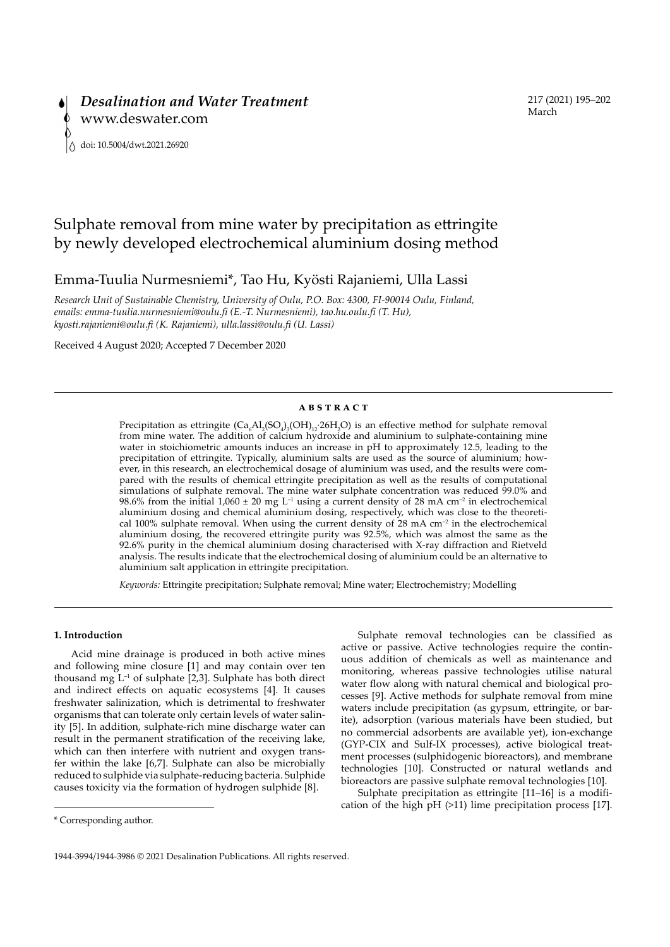# Sulphate removal from mine water by precipitation as ettringite by newly developed electrochemical aluminium dosing method

Emma-Tuulia Nurmesniemi\*, Tao Hu, Kyösti Rajaniemi, Ulla Lassi

*Research Unit of Sustainable Chemistry, University of Oulu, P.O. Box: 4300, FI-90014 Oulu, Finland, emails: emma-tuulia.nurmesniemi@oulu.fi (E.-T. Nurmesniemi), tao.hu.oulu.fi (T. Hu), kyosti.rajaniemi@oulu.fi (K. Rajaniemi), ulla.lassi@oulu.fi (U. Lassi)*

Received 4 August 2020; Accepted 7 December 2020

#### **ABSTRACT**

Precipitation as ettringite  $(Ca_{6}Al_{2}(SO_{4})_{3}(OH)_{12}$ :26H<sub>2</sub>O) is an effective method for sulphate removal from mine water. The addition of calcium hydroxide and aluminium to sulphate-containing mine water in stoichiometric amounts induces an increase in pH to approximately 12.5, leading to the precipitation of ettringite. Typically, aluminium salts are used as the source of aluminium; however, in this research, an electrochemical dosage of aluminium was used, and the results were compared with the results of chemical ettringite precipitation as well as the results of computational simulations of sulphate removal. The mine water sulphate concentration was reduced 99.0% and 98.6% from the initial 1,060 ± 20 mg L<sup>-1</sup> using a current density of 28 mA cm<sup>-2</sup> in electrochemical aluminium dosing and chemical aluminium dosing, respectively, which was close to the theoretical 100% sulphate removal. When using the current density of  $28 \text{ mA cm}^{-2}$  in the electrochemical aluminium dosing, the recovered ettringite purity was 92.5%, which was almost the same as the 92.6% purity in the chemical aluminium dosing characterised with X-ray diffraction and Rietveld analysis. The results indicate that the electrochemical dosing of aluminium could be an alternative to aluminium salt application in ettringite precipitation.

*Keywords:* Ettringite precipitation; Sulphate removal; Mine water; Electrochemistry; Modelling

# **1. Introduction**

Acid mine drainage is produced in both active mines and following mine closure [1] and may contain over ten thousand mg  $L^{-1}$  of sulphate [2,3]. Sulphate has both direct and indirect effects on aquatic ecosystems [4]. It causes freshwater salinization, which is detrimental to freshwater organisms that can tolerate only certain levels of water salinity [5]. In addition, sulphate-rich mine discharge water can result in the permanent stratification of the receiving lake, which can then interfere with nutrient and oxygen transfer within the lake [6,7]. Sulphate can also be microbially reduced to sulphide via sulphate-reducing bacteria. Sulphide causes toxicity via the formation of hydrogen sulphide [8].

Sulphate removal technologies can be classified as active or passive. Active technologies require the continuous addition of chemicals as well as maintenance and monitoring, whereas passive technologies utilise natural water flow along with natural chemical and biological processes [9]. Active methods for sulphate removal from mine waters include precipitation (as gypsum, ettringite, or barite), adsorption (various materials have been studied, but no commercial adsorbents are available yet), ion-exchange (GYP-CIX and Sulf-IX processes), active biological treatment processes (sulphidogenic bioreactors), and membrane technologies [10]. Constructed or natural wetlands and bioreactors are passive sulphate removal technologies [10].

Sulphate precipitation as ettringite [11–16] is a modification of the high pH (>11) lime precipitation process [17].

<sup>\*</sup> Corresponding author.

<sup>1944-3994/1944-3986 © 2021</sup> Desalination Publications. All rights reserved.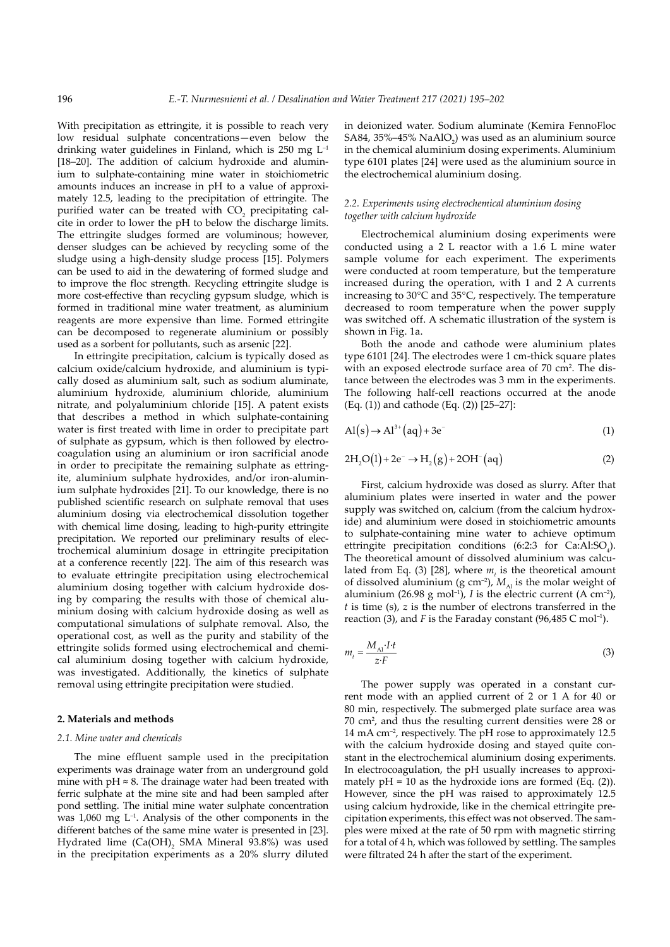With precipitation as ettringite, it is possible to reach very low residual sulphate concentrations—even below the drinking water guidelines in Finland, which is  $250 \text{ mg } L^{-1}$ [18–20]. The addition of calcium hydroxide and aluminium to sulphate-containing mine water in stoichiometric amounts induces an increase in pH to a value of approximately 12.5, leading to the precipitation of ettringite. The purified water can be treated with  $CO_2$  precipitating calcite in order to lower the pH to below the discharge limits. The ettringite sludges formed are voluminous; however, denser sludges can be achieved by recycling some of the sludge using a high-density sludge process [15]. Polymers can be used to aid in the dewatering of formed sludge and to improve the floc strength. Recycling ettringite sludge is more cost-effective than recycling gypsum sludge, which is formed in traditional mine water treatment, as aluminium reagents are more expensive than lime. Formed ettringite can be decomposed to regenerate aluminium or possibly used as a sorbent for pollutants, such as arsenic [22].

In ettringite precipitation, calcium is typically dosed as calcium oxide/calcium hydroxide, and aluminium is typically dosed as aluminium salt, such as sodium aluminate, aluminium hydroxide, aluminium chloride, aluminium nitrate, and polyaluminium chloride [15]. A patent exists that describes a method in which sulphate-containing water is first treated with lime in order to precipitate part of sulphate as gypsum, which is then followed by electrocoagulation using an aluminium or iron sacrificial anode in order to precipitate the remaining sulphate as ettringite, aluminium sulphate hydroxides, and/or iron-aluminium sulphate hydroxides [21]. To our knowledge, there is no published scientific research on sulphate removal that uses aluminium dosing via electrochemical dissolution together with chemical lime dosing, leading to high-purity ettringite precipitation. We reported our preliminary results of electrochemical aluminium dosage in ettringite precipitation at a conference recently [22]. The aim of this research was to evaluate ettringite precipitation using electrochemical aluminium dosing together with calcium hydroxide dosing by comparing the results with those of chemical aluminium dosing with calcium hydroxide dosing as well as computational simulations of sulphate removal. Also, the operational cost, as well as the purity and stability of the ettringite solids formed using electrochemical and chemical aluminium dosing together with calcium hydroxide, was investigated. Additionally, the kinetics of sulphate removal using ettringite precipitation were studied.

# **2. Materials and methods**

#### *2.1. Mine water and chemicals*

The mine effluent sample used in the precipitation experiments was drainage water from an underground gold mine with  $pH \approx 8$ . The drainage water had been treated with ferric sulphate at the mine site and had been sampled after pond settling. The initial mine water sulphate concentration was  $1,060$  mg  $L^{-1}$ . Analysis of the other components in the different batches of the same mine water is presented in [23]. Hydrated lime  $(Ca(OH)_{2}$  SMA Mineral 93.8%) was used in the precipitation experiments as a 20% slurry diluted

in deionized water. Sodium aluminate (Kemira FennoFloc SA84, 35%–45%  $\text{NaAlO}_2$ ) was used as an aluminium source in the chemical aluminium dosing experiments. Aluminium type 6101 plates [24] were used as the aluminium source in the electrochemical aluminium dosing.

# *2.2. Experiments using electrochemical aluminium dosing together with calcium hydroxide*

Electrochemical aluminium dosing experiments were conducted using a 2 L reactor with a 1.6 L mine water sample volume for each experiment. The experiments were conducted at room temperature, but the temperature increased during the operation, with 1 and 2 A currents increasing to 30°C and 35°C, respectively. The temperature decreased to room temperature when the power supply was switched off. A schematic illustration of the system is shown in Fig. 1a.

Both the anode and cathode were aluminium plates type 6101 [24]. The electrodes were 1 cm-thick square plates with an exposed electrode surface area of 70 cm<sup>2</sup>. The distance between the electrodes was 3 mm in the experiments. The following half-cell reactions occurred at the anode (Eq. (1)) and cathode (Eq. (2)) [25–27]:

$$
Al(s) \rightarrow Al^{3+}(aq) + 3e^{-}
$$
 (1)

$$
2H_2O(l) + 2e^- \to H_2(g) + 2OH^-(aq)
$$
 (2)

First, calcium hydroxide was dosed as slurry. After that aluminium plates were inserted in water and the power supply was switched on, calcium (from the calcium hydroxide) and aluminium were dosed in stoichiometric amounts to sulphate-containing mine water to achieve optimum ettringite precipitation conditions (6:2:3 for  $Ca:AI:SO<sub>4</sub>$ ). The theoretical amount of dissolved aluminium was calculated from Eq. (3) [28], where  $m<sub>t</sub>$  is the theoretical amount of dissolved aluminium (g cm<sup>-2</sup>),  $M_{\text{Al}}$  is the molar weight of aluminium (26.98 g mol<sup>-1</sup>), *I* is the electric current (A cm<sup>-2</sup>), *t* is time (s), *z* is the number of electrons transferred in the reaction (3), and *F* is the Faraday constant (96,485 C mol<sup>-1</sup>).

$$
m_t = \frac{M_{\text{Al}} \cdot I \cdot t}{z \cdot F} \tag{3}
$$

The power supply was operated in a constant current mode with an applied current of 2 or 1 A for 40 or 80 min, respectively. The submerged plate surface area was 70 cm2 , and thus the resulting current densities were 28 or 14 mA cm–2, respectively. The pH rose to approximately 12.5 with the calcium hydroxide dosing and stayed quite constant in the electrochemical aluminium dosing experiments. In electrocoagulation, the pH usually increases to approximately  $pH = 10$  as the hydroxide ions are formed (Eq. (2)). However, since the pH was raised to approximately 12.5 using calcium hydroxide, like in the chemical ettringite precipitation experiments, this effect was not observed. The samples were mixed at the rate of 50 rpm with magnetic stirring for a total of 4 h, which was followed by settling. The samples were filtrated 24 h after the start of the experiment.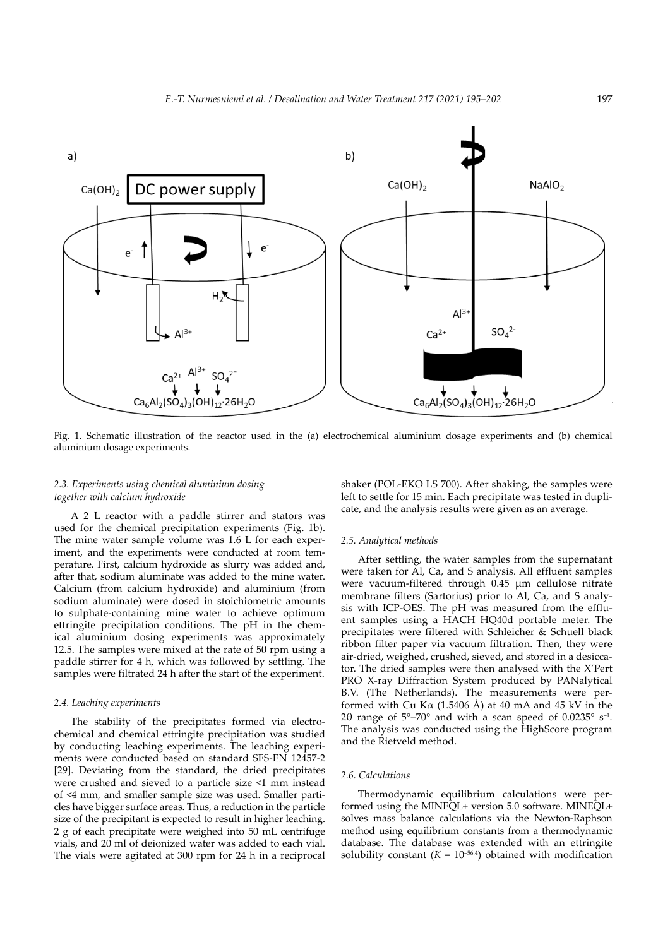

Fig. 1. Schematic illustration of the reactor used in the (a) electrochemical aluminium dosage experiments and (b) chemical aluminium dosage experiments.

# *2.3. Experiments using chemical aluminium dosing together with calcium hydroxide*

A 2 L reactor with a paddle stirrer and stators was used for the chemical precipitation experiments (Fig. 1b). The mine water sample volume was 1.6 L for each experiment, and the experiments were conducted at room temperature. First, calcium hydroxide as slurry was added and, after that, sodium aluminate was added to the mine water. Calcium (from calcium hydroxide) and aluminium (from sodium aluminate) were dosed in stoichiometric amounts to sulphate-containing mine water to achieve optimum ettringite precipitation conditions. The pH in the chemical aluminium dosing experiments was approximately 12.5. The samples were mixed at the rate of 50 rpm using a paddle stirrer for 4 h, which was followed by settling. The samples were filtrated 24 h after the start of the experiment.

## *2.4. Leaching experiments*

The stability of the precipitates formed via electrochemical and chemical ettringite precipitation was studied by conducting leaching experiments. The leaching experiments were conducted based on standard SFS-EN 12457-2 [29]. Deviating from the standard, the dried precipitates were crushed and sieved to a particle size <1 mm instead of <4 mm, and smaller sample size was used. Smaller particles have bigger surface areas. Thus, a reduction in the particle size of the precipitant is expected to result in higher leaching. 2 g of each precipitate were weighed into 50 mL centrifuge vials, and 20 ml of deionized water was added to each vial. The vials were agitated at 300 rpm for 24 h in a reciprocal

shaker (POL-EKO LS 700). After shaking, the samples were left to settle for 15 min. Each precipitate was tested in duplicate, and the analysis results were given as an average.

# *2.5. Analytical methods*

After settling, the water samples from the supernatant were taken for Al, Ca, and S analysis. All effluent samples were vacuum-filtered through 0.45 µm cellulose nitrate membrane filters (Sartorius) prior to Al, Ca, and S analysis with ICP-OES. The pH was measured from the effluent samples using a HACH HQ40d portable meter. The precipitates were filtered with Schleicher & Schuell black ribbon filter paper via vacuum filtration. Then, they were air-dried, weighed, crushed, sieved, and stored in a desiccator. The dried samples were then analysed with the X'Pert PRO X-ray Diffraction System produced by PANalytical B.V. (The Netherlands). The measurements were performed with Cu K $\alpha$  (1.5406 Å) at 40 mA and 45 kV in the 2θ range of  $5^{\circ}-70^{\circ}$  and with a scan speed of 0.0235° s<sup>-1</sup>. The analysis was conducted using the HighScore program and the Rietveld method.

# *2.6. Calculations*

Thermodynamic equilibrium calculations were performed using the MINEQL+ version 5.0 software. MINEQL+ solves mass balance calculations via the Newton-Raphson method using equilibrium constants from a thermodynamic database. The database was extended with an ettringite solubility constant  $(K = 10^{-56.4})$  obtained with modification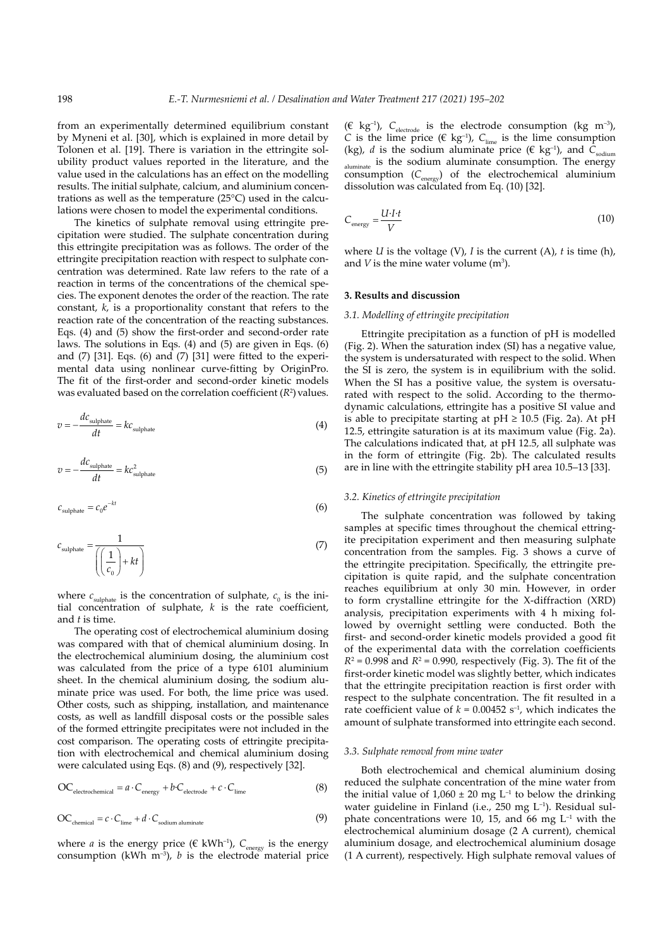from an experimentally determined equilibrium constant by Myneni et al. [30], which is explained in more detail by Tolonen et al. [19]. There is variation in the ettringite solubility product values reported in the literature, and the value used in the calculations has an effect on the modelling results. The initial sulphate, calcium, and aluminium concentrations as well as the temperature (25°C) used in the calculations were chosen to model the experimental conditions.

The kinetics of sulphate removal using ettringite precipitation were studied. The sulphate concentration during this ettringite precipitation was as follows. The order of the ettringite precipitation reaction with respect to sulphate concentration was determined. Rate law refers to the rate of a reaction in terms of the concentrations of the chemical species. The exponent denotes the order of the reaction. The rate constant, *k*, is a proportionality constant that refers to the reaction rate of the concentration of the reacting substances. Eqs. (4) and (5) show the first-order and second-order rate laws. The solutions in Eqs. (4) and (5) are given in Eqs. (6) and  $(7)$  [31]. Eqs.  $(6)$  and  $(7)$  [31] were fitted to the experimental data using nonlinear curve-fitting by OriginPro. The fit of the first-order and second-order kinetic models was evaluated based on the correlation coefficient  $(R^2)$  values.

$$
v = -\frac{dc_{\text{subplate}}}{dt} = kc_{\text{subplate}}
$$
 (4)

$$
v = -\frac{dc_{\text{subplate}}}{dt} = kc_{\text{subplate}}^2 \tag{5}
$$

$$
c_{\text{subplate}} = c_0 e^{-kt} \tag{6}
$$

$$
c_{\text{subplate}} = \frac{1}{\left(\left(\frac{1}{c_0}\right) + kt\right)}
$$
(7)

where  $c_{\text{subplate}}$  is the concentration of sulphate,  $c_0$  is the initial concentration of sulphate, *k* is the rate coefficient, and *t* is time.

The operating cost of electrochemical aluminium dosing was compared with that of chemical aluminium dosing. In the electrochemical aluminium dosing, the aluminium cost was calculated from the price of a type 6101 aluminium sheet. In the chemical aluminium dosing, the sodium aluminate price was used. For both, the lime price was used. Other costs, such as shipping, installation, and maintenance costs, as well as landfill disposal costs or the possible sales of the formed ettringite precipitates were not included in the cost comparison. The operating costs of ettringite precipitation with electrochemical and chemical aluminium dosing were calculated using Eqs. (8) and (9), respectively [32].

$$
\text{OC}_{\text{electrochemical}} = a \cdot \text{C}_{\text{energy}} + b \cdot \text{C}_{\text{electrode}} + c \cdot \text{C}_{\text{lime}} \tag{8}
$$

$$
\text{OC}_{\text{chemical}} = c \cdot \text{C}_{\text{lime}} + d \cdot \text{C}_{\text{sodium abundance}} \tag{9}
$$

where *a* is the energy price ( $\epsilon$  kWh<sup>-1</sup>),  $C_{\text{energy}}$  is the energy consumption (kWh  $m^{-3}$ ), *b* is the electrode material price ( $\in$  kg<sup>-1</sup>),  $C_{\text{electrode}}$  is the electrode consumption (kg m<sup>-3</sup>), *C* is the lime price ( $\epsilon$  kg<sup>-1</sup>), *C*<sub>lime</sub> is the lime consumption (kg), *d* is the sodium aluminate price ( $\epsilon$  kg<sup>-1</sup>), and  $C_{\text{sodium}}$  $a$ luminate is the sodium aluminate consumption. The energy consumption (C<sub>energy</sub>) of the electrochemical aluminium dissolution was calculated from Eq. (10) [32].

$$
C_{\text{energy}} = \frac{U \cdot I \cdot t}{V} \tag{10}
$$

where *U* is the voltage (V), *I* is the current (A), *t* is time (h), and  $V$  is the mine water volume  $(m^3)$ .

### **3. Results and discussion**

#### *3.1. Modelling of ettringite precipitation*

Ettringite precipitation as a function of pH is modelled (Fig. 2). When the saturation index (SI) has a negative value, the system is undersaturated with respect to the solid. When the SI is zero, the system is in equilibrium with the solid. When the SI has a positive value, the system is oversaturated with respect to the solid. According to the thermodynamic calculations, ettringite has a positive SI value and is able to precipitate starting at  $pH \ge 10.5$  (Fig. 2a). At  $pH$ 12.5, ettringite saturation is at its maximum value (Fig. 2a). The calculations indicated that, at pH 12.5, all sulphate was in the form of ettringite (Fig. 2b). The calculated results are in line with the ettringite stability pH area 10.5–13 [33].

# *3.2. Kinetics of ettringite precipitation*

The sulphate concentration was followed by taking samples at specific times throughout the chemical ettringite precipitation experiment and then measuring sulphate concentration from the samples. Fig. 3 shows a curve of the ettringite precipitation. Specifically, the ettringite precipitation is quite rapid, and the sulphate concentration reaches equilibrium at only 30 min. However, in order to form crystalline ettringite for the X-diffraction (XRD) analysis, precipitation experiments with 4 h mixing followed by overnight settling were conducted. Both the first- and second-order kinetic models provided a good fit of the experimental data with the correlation coefficients  $R^2 = 0.998$  and  $R^2 = 0.990$ , respectively (Fig. 3). The fit of the first-order kinetic model was slightly better, which indicates that the ettringite precipitation reaction is first order with respect to the sulphate concentration. The fit resulted in a rate coefficient value of  $k = 0.00452$  s<sup>-1</sup>, which indicates the amount of sulphate transformed into ettringite each second.

#### *3.3. Sulphate removal from mine water*

Both electrochemical and chemical aluminium dosing reduced the sulphate concentration of the mine water from the initial value of  $1,060 \pm 20$  mg L<sup>-1</sup> to below the drinking water guideline in Finland (i.e., 250 mg L–1). Residual sulphate concentrations were 10, 15, and 66 mg  $L^{-1}$  with the electrochemical aluminium dosage (2 A current), chemical aluminium dosage, and electrochemical aluminium dosage (1 A current), respectively. High sulphate removal values of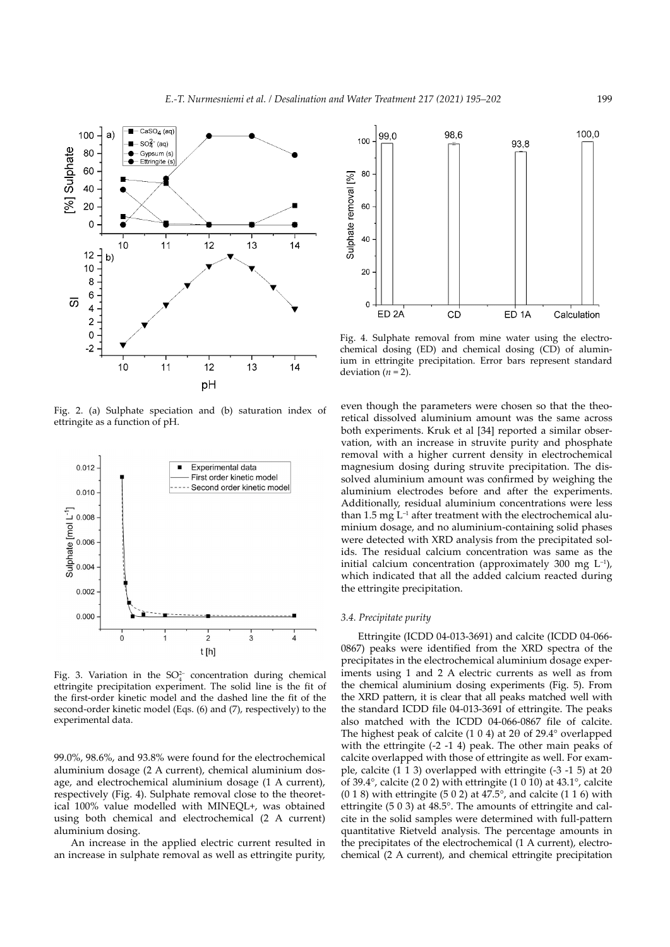

Fig. 2. (a) Sulphate speciation and (b) saturation index of ettringite as a function of pH.



Fig. 3. Variation in the  $SO_4^{2-}$  concentration during chemical ettringite precipitation experiment. The solid line is the fit of the first-order kinetic model and the dashed line the fit of the second-order kinetic model (Eqs. (6) and (7), respectively) to the experimental data.

99.0%, 98.6%, and 93.8% were found for the electrochemical aluminium dosage (2 A current), chemical aluminium dosage, and electrochemical aluminium dosage (1 A current), respectively (Fig. 4). Sulphate removal close to the theoretical 100% value modelled with MINEQL+, was obtained using both chemical and electrochemical (2 A current) aluminium dosing.

An increase in the applied electric current resulted in an increase in sulphate removal as well as ettringite purity,



Fig. 4. Sulphate removal from mine water using the electrochemical dosing (ED) and chemical dosing (CD) of aluminium in ettringite precipitation. Error bars represent standard deviation  $(n = 2)$ .

even though the parameters were chosen so that the theoretical dissolved aluminium amount was the same across both experiments. Kruk et al [34] reported a similar observation, with an increase in struvite purity and phosphate removal with a higher current density in electrochemical magnesium dosing during struvite precipitation. The dissolved aluminium amount was confirmed by weighing the aluminium electrodes before and after the experiments. Additionally, residual aluminium concentrations were less than 1.5 mg  $L^{-1}$  after treatment with the electrochemical aluminium dosage, and no aluminium-containing solid phases were detected with XRD analysis from the precipitated solids. The residual calcium concentration was same as the initial calcium concentration (approximately 300 mg  $L^{-1}$ ), which indicated that all the added calcium reacted during the ettringite precipitation.

## *3.4. Precipitate purity*

Ettringite (ICDD 04-013-3691) and calcite (ICDD 04-066- 0867) peaks were identified from the XRD spectra of the precipitates in the electrochemical aluminium dosage experiments using 1 and 2 A electric currents as well as from the chemical aluminium dosing experiments (Fig. 5). From the XRD pattern, it is clear that all peaks matched well with the standard ICDD file 04-013-3691 of ettringite. The peaks also matched with the ICDD 04-066-0867 file of calcite. The highest peak of calcite (1 0 4) at 2θ of 29.4° overlapped with the ettringite (-2 -1 4) peak. The other main peaks of calcite overlapped with those of ettringite as well. For example, calcite  $(1\ 1\ 3)$  overlapped with ettringite  $(-3\ -1\ 5)$  at  $2\theta$ of 39.4°, calcite (2 0 2) with ettringite (1 0 10) at 43.1°, calcite  $(0 1 8)$  with ettringite (5 0 2) at 47.5°, and calcite (1 1 6) with ettringite (5 0 3) at 48.5°. The amounts of ettringite and calcite in the solid samples were determined with full-pattern quantitative Rietveld analysis. The percentage amounts in the precipitates of the electrochemical (1 A current), electrochemical (2 A current), and chemical ettringite precipitation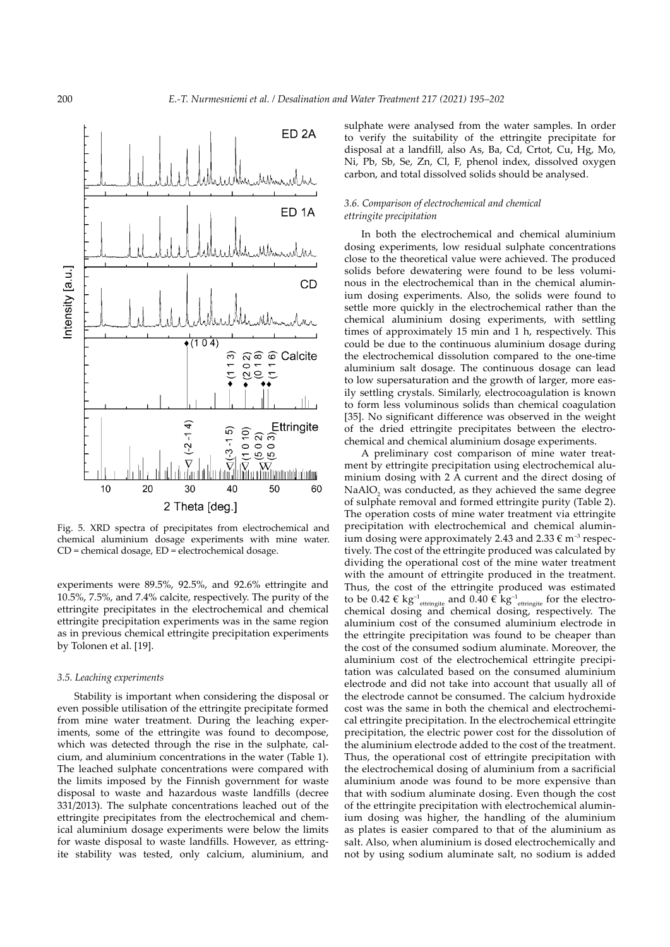

Fig. 5. XRD spectra of precipitates from electrochemical and chemical aluminium dosage experiments with mine water. CD = chemical dosage, ED = electrochemical dosage.

experiments were 89.5%, 92.5%, and 92.6% ettringite and 10.5%, 7.5%, and 7.4% calcite, respectively. The purity of the ettringite precipitates in the electrochemical and chemical ettringite precipitation experiments was in the same region as in previous chemical ettringite precipitation experiments by Tolonen et al. [19].

#### *3.5. Leaching experiments*

Stability is important when considering the disposal or even possible utilisation of the ettringite precipitate formed from mine water treatment. During the leaching experiments, some of the ettringite was found to decompose, which was detected through the rise in the sulphate, calcium, and aluminium concentrations in the water (Table 1). The leached sulphate concentrations were compared with the limits imposed by the Finnish government for waste disposal to waste and hazardous waste landfills (decree 331/2013). The sulphate concentrations leached out of the ettringite precipitates from the electrochemical and chemical aluminium dosage experiments were below the limits for waste disposal to waste landfills. However, as ettringite stability was tested, only calcium, aluminium, and

sulphate were analysed from the water samples. In order to verify the suitability of the ettringite precipitate for disposal at a landfill, also As, Ba, Cd, Crtot, Cu, Hg, Mo, Ni, Pb, Sb, Se, Zn, Cl, F, phenol index, dissolved oxygen carbon, and total dissolved solids should be analysed.

# *3.6. Comparison of electrochemical and chemical ettringite precipitation*

In both the electrochemical and chemical aluminium dosing experiments, low residual sulphate concentrations close to the theoretical value were achieved. The produced solids before dewatering were found to be less voluminous in the electrochemical than in the chemical aluminium dosing experiments. Also, the solids were found to settle more quickly in the electrochemical rather than the chemical aluminium dosing experiments, with settling times of approximately 15 min and 1 h, respectively. This could be due to the continuous aluminium dosage during the electrochemical dissolution compared to the one-time aluminium salt dosage. The continuous dosage can lead to low supersaturation and the growth of larger, more easily settling crystals. Similarly, electrocoagulation is known to form less voluminous solids than chemical coagulation [35]. No significant difference was observed in the weight of the dried ettringite precipitates between the electrochemical and chemical aluminium dosage experiments.

A preliminary cost comparison of mine water treatment by ettringite precipitation using electrochemical aluminium dosing with 2 A current and the direct dosing of  $\text{NaAlO}_2$  was conducted, as they achieved the same degree of sulphate removal and formed ettringite purity (Table 2). The operation costs of mine water treatment via ettringite precipitation with electrochemical and chemical aluminium dosing were approximately 2.43 and  $2.33 \text{ } \in \text{m}^{-3}$  respectively. The cost of the ettringite produced was calculated by dividing the operational cost of the mine water treatment with the amount of ettringite produced in the treatment. Thus, the cost of the ettringite produced was estimated to be 0.42  $\epsilon$  kg<sup>-1</sup><sub>ettringite</sub> and 0.40  $\epsilon$  kg<sup>-1</sup><sub>ettringite</sub> for the electrochemical dosing and chemical dosing, respectively. The aluminium cost of the consumed aluminium electrode in the ettringite precipitation was found to be cheaper than the cost of the consumed sodium aluminate. Moreover, the aluminium cost of the electrochemical ettringite precipitation was calculated based on the consumed aluminium electrode and did not take into account that usually all of the electrode cannot be consumed. The calcium hydroxide cost was the same in both the chemical and electrochemical ettringite precipitation. In the electrochemical ettringite precipitation, the electric power cost for the dissolution of the aluminium electrode added to the cost of the treatment. Thus, the operational cost of ettringite precipitation with the electrochemical dosing of aluminium from a sacrificial aluminium anode was found to be more expensive than that with sodium aluminate dosing. Even though the cost of the ettringite precipitation with electrochemical aluminium dosing was higher, the handling of the aluminium as plates is easier compared to that of the aluminium as salt. Also, when aluminium is dosed electrochemically and not by using sodium aluminate salt, no sodium is added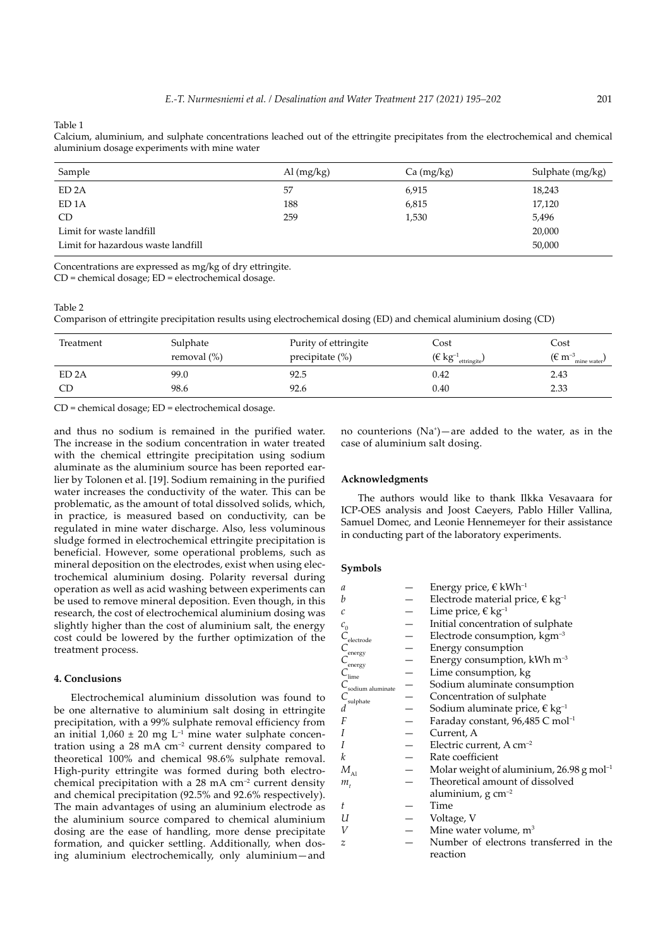Table 1

|  |                                              | Calcium, aluminium, and sulphate concentrations leached out of the ettringite precipitates from the electrochemical and chemical |  |  |  |  |  |
|--|----------------------------------------------|----------------------------------------------------------------------------------------------------------------------------------|--|--|--|--|--|
|  | aluminium dosage experiments with mine water |                                                                                                                                  |  |  |  |  |  |

| Sample                             | Al $(mg/kg)$ | Ca (mg/kg) | Sulphate (mg/kg) |
|------------------------------------|--------------|------------|------------------|
| ED <sub>2</sub> A                  | 57           | 6,915      | 18,243           |
| ED <sub>1</sub> A                  | 188          | 6,815      | 17,120           |
| CD <sub></sub>                     | 259          | 1,530      | 5,496            |
| Limit for waste landfill           |              |            | 20,000           |
| Limit for hazardous waste landfill |              |            | 50,000           |

Concentrations are expressed as mg/kg of dry ettringite.

CD = chemical dosage; ED = electrochemical dosage.

# Table 2

Comparison of ettringite precipitation results using electrochemical dosing (ED) and chemical aluminium dosing (CD)

| Treatment | Sulphate<br>removal $(\%)$ | Purity of ettringite<br>precipitate (%) | Cost<br>$(\in$ kg <sup>-1</sup> <sub>ettringite</sub> ) | Cost<br>( $\epsilon$ m <sup>-3</sup> mine water |
|-----------|----------------------------|-----------------------------------------|---------------------------------------------------------|-------------------------------------------------|
| ED 2A     | 99.0                       | 92.5                                    | 0.42                                                    | 2.43                                            |
| CD        | 98.6                       | 92.6                                    | 0.40                                                    | 2.33                                            |

CD = chemical dosage; ED = electrochemical dosage.

and thus no sodium is remained in the purified water. The increase in the sodium concentration in water treated with the chemical ettringite precipitation using sodium aluminate as the aluminium source has been reported earlier by Tolonen et al. [19]. Sodium remaining in the purified water increases the conductivity of the water. This can be problematic, as the amount of total dissolved solids, which, in practice, is measured based on conductivity, can be regulated in mine water discharge. Also, less voluminous sludge formed in electrochemical ettringite precipitation is beneficial. However, some operational problems, such as mineral deposition on the electrodes, exist when using electrochemical aluminium dosing. Polarity reversal during operation as well as acid washing between experiments can be used to remove mineral deposition. Even though, in this research, the cost of electrochemical aluminium dosing was slightly higher than the cost of aluminium salt, the energy cost could be lowered by the further optimization of the treatment process.

# **4. Conclusions**

Electrochemical aluminium dissolution was found to be one alternative to aluminium salt dosing in ettringite precipitation, with a 99% sulphate removal efficiency from an initial  $1,060 \pm 20$  mg L<sup>-1</sup> mine water sulphate concentration using a 28 mA cm<sup>-2</sup> current density compared to theoretical 100% and chemical 98.6% sulphate removal. High-purity ettringite was formed during both electrochemical precipitation with a  $28 \text{ mA cm}^{-2}$  current density and chemical precipitation (92.5% and 92.6% respectively). The main advantages of using an aluminium electrode as the aluminium source compared to chemical aluminium dosing are the ease of handling, more dense precipitate formation, and quicker settling. Additionally, when dosing aluminium electrochemically, only aluminium—and

no counterions  $(Na^+)$ —are added to the water, as in the case of aluminium salt dosing.

## **Acknowledgments**

The authors would like to thank Ilkka Vesavaara for ICP-OES analysis and Joost Caeyers, Pablo Hiller Vallina, Samuel Domec, and Leonie Hennemeyer for their assistance in conducting part of the laboratory experiments.

# **Symbols**

| a                                           | Energy price, € kWh <sup>-1</sup>                      |
|---------------------------------------------|--------------------------------------------------------|
| b                                           | Electrode material price, $\epsilon$ kg <sup>-1</sup>  |
| C                                           | Lime price, $\in$ kg <sup>-1</sup>                     |
| $c_{0}$                                     | Initial concentration of sulphate                      |
| $C_{\text{electrode}}$                      | Electrode consumption, kgm <sup>-3</sup>               |
| $C_{\rm energy}$                            | Energy consumption                                     |
|                                             | Energy consumption, kWh m <sup>-3</sup>                |
| $\frac{C_{\text{energy}}}{C_{\text{lime}}}$ | Lime consumption, kg                                   |
| $C_{\rm sodium\ aluminate}$                 | Sodium aluminate consumption                           |
| $C_{\text{subplate}}$ $d$                   | Concentration of sulphate                              |
|                                             | Sodium aluminate price, $\epsilon$ kg <sup>-1</sup>    |
| F                                           | Faraday constant, $96,485$ C mol <sup>-1</sup>         |
|                                             | Current, A                                             |
|                                             | Electric current, $A \text{ cm}^{-2}$                  |
| k                                           | Rate coefficient                                       |
| $M_{\mbox{\tiny Al}}$                       | Molar weight of aluminium, $26.98$ g mol <sup>-1</sup> |
| $m_{\scriptscriptstyle{t}}$                 | Theoretical amount of dissolved                        |
|                                             | aluminium, $g \text{ cm}^{-2}$                         |
| t                                           | Time                                                   |
| U                                           | Voltage, V                                             |
| V                                           | Mine water volume, $m3$                                |
| z                                           | Number of electrons transferred in the                 |
|                                             | reaction                                               |